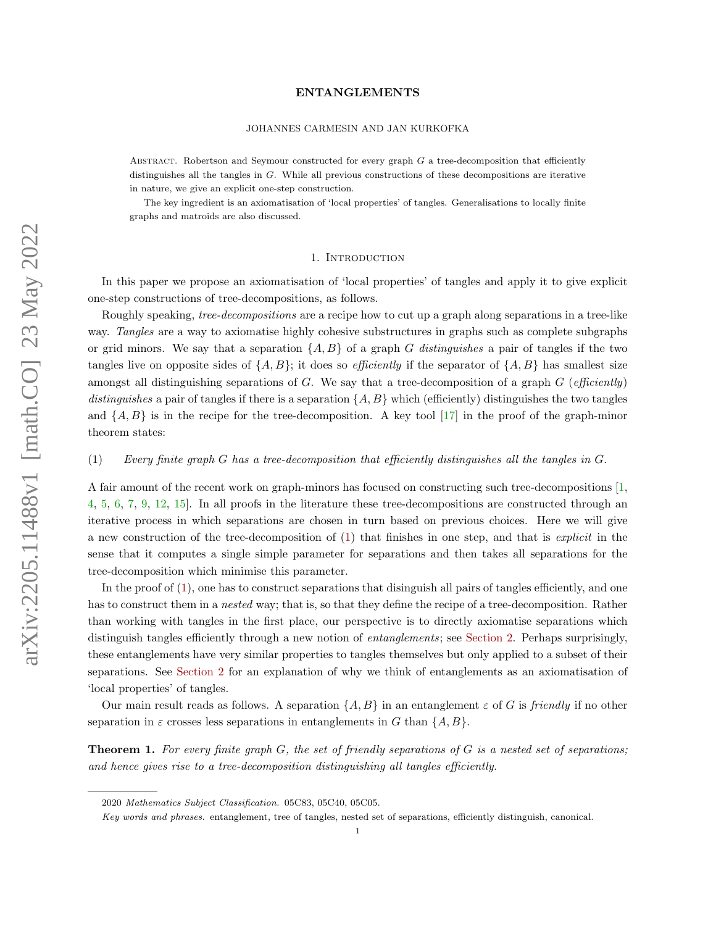### JOHANNES CARMESIN AND JAN KURKOFKA

ABSTRACT. Robertson and Seymour constructed for every graph  $G$  a tree-decomposition that efficiently distinguishes all the tangles in G. While all previous constructions of these decompositions are iterative in nature, we give an explicit one-step construction.

The key ingredient is an axiomatisation of 'local properties' of tangles. Generalisations to locally finite graphs and matroids are also discussed.

## 1. INTRODUCTION

In this paper we propose an axiomatisation of 'local properties' of tangles and apply it to give explicit one-step constructions of tree-decompositions, as follows.

Roughly speaking, tree-decompositions are a recipe how to cut up a graph along separations in a tree-like way. Tangles are a way to axiomatise highly cohesive substructures in graphs such as complete subgraphs or grid minors. We say that a separation  $\{A, B\}$  of a graph G distinguishes a pair of tangles if the two tangles live on opposite sides of  $\{A, B\}$ ; it does so *efficiently* if the separator of  $\{A, B\}$  has smallest size amongst all distinguishing separations of G. We say that a tree-decomposition of a graph  $G$  (efficiently) distinguishes a pair of tangles if there is a separation  $\{A, B\}$  which (efficiently) distinguishes the two tangles and  $\{A, B\}$  is in the recipe for the tree-decomposition. A key tool [\[17\]](#page-7-0) in the proof of the graph-minor theorem states:

### <span id="page-0-0"></span>(1) Every finite graph G has a tree-decomposition that efficiently distinguishes all the tangles in G.

A fair amount of the recent work on graph-minors has focused on constructing such tree-decompositions [\[1,](#page-7-1) [4,](#page-7-2) [5,](#page-7-3) [6,](#page-7-4) [7,](#page-7-5) [9,](#page-7-6) [12,](#page-7-7) [15\]](#page-7-8). In all proofs in the literature these tree-decompositions are constructed through an iterative process in which separations are chosen in turn based on previous choices. Here we will give a new construction of the tree-decomposition of [\(1\)](#page-0-0) that finishes in one step, and that is explicit in the sense that it computes a single simple parameter for separations and then takes all separations for the tree-decomposition which minimise this parameter.

In the proof of  $(1)$ , one has to construct separations that disinguish all pairs of tangles efficiently, and one has to construct them in a nested way; that is, so that they define the recipe of a tree-decomposition. Rather than working with tangles in the first place, our perspective is to directly axiomatise separations which distinguish tangles efficiently through a new notion of *entanglements*; see [Section 2.](#page-1-0) Perhaps surprisingly, these entanglements have very similar properties to tangles themselves but only applied to a subset of their separations. See [Section 2](#page-1-0) for an explanation of why we think of entanglements as an axiomatisation of 'local properties' of tangles.

Our main result reads as follows. A separation  $\{A, B\}$  in an entanglement  $\varepsilon$  of G is friendly if no other separation in  $\varepsilon$  crosses less separations in entanglements in G than  $\{A, B\}$ .

<span id="page-0-1"></span>**Theorem 1.** For every finite graph  $G$ , the set of friendly separations of  $G$  is a nested set of separations; and hence gives rise to a tree-decomposition distinguishing all tangles efficiently.

<sup>2020</sup> Mathematics Subject Classification. 05C83, 05C40, 05C05.

Key words and phrases. entanglement, tree of tangles, nested set of separations, efficiently distinguish, canonical.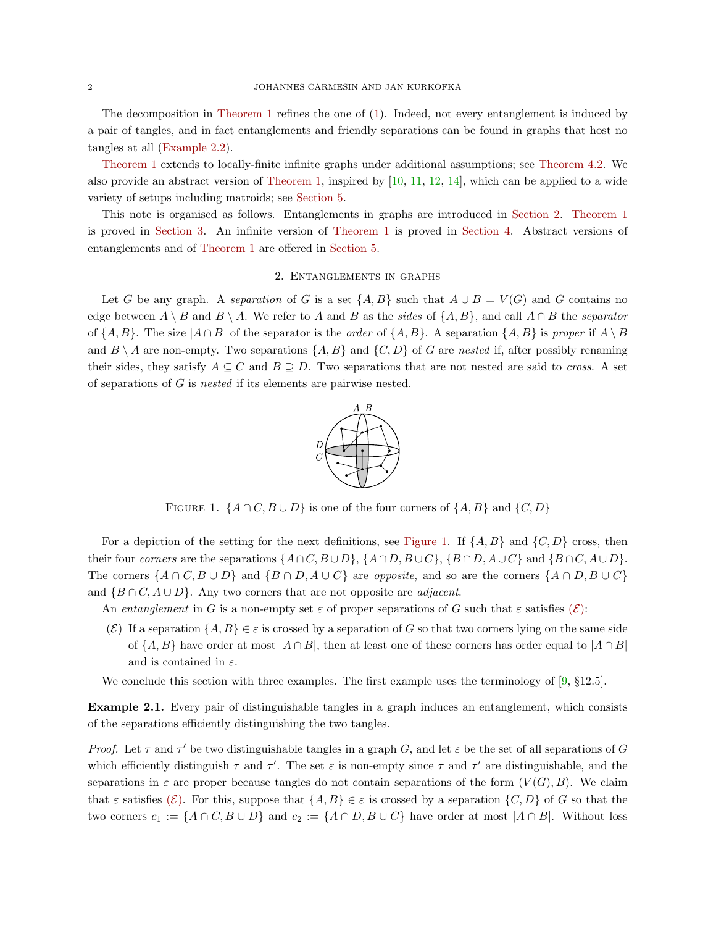The decomposition in [Theorem 1](#page-0-1) refines the one of [\(1\)](#page-0-0). Indeed, not every entanglement is induced by a pair of tangles, and in fact entanglements and friendly separations can be found in graphs that host no tangles at all [\(Example 2.2\)](#page-2-0).

[Theorem 1](#page-0-1) extends to locally-finite infinite graphs under additional assumptions; see [Theorem 4.2.](#page-5-0) We also provide an abstract version of [Theorem 1,](#page-0-1) inspired by [\[10,](#page-7-9) [11,](#page-7-10) [12,](#page-7-7) [14\]](#page-7-11), which can be applied to a wide variety of setups including matroids; see [Section 5.](#page-6-0)

This note is organised as follows. Entanglements in graphs are introduced in [Section 2.](#page-1-0) [Theorem 1](#page-0-1) is proved in [Section 3.](#page-3-0) An infinite version of [Theorem 1](#page-0-1) is proved in [Section 4.](#page-5-1) Abstract versions of entanglements and of [Theorem 1](#page-0-1) are offered in [Section 5.](#page-6-0)

# 2. Entanglements in graphs

<span id="page-1-1"></span><span id="page-1-0"></span>Let G be any graph. A separation of G is a set  $\{A, B\}$  such that  $A \cup B = V(G)$  and G contains no edge between  $A \setminus B$  and  $B \setminus A$ . We refer to A and B as the sides of  $\{A, B\}$ , and call  $A \cap B$  the separator of  $\{A, B\}$ . The size  $|A \cap B|$  of the separator is the *order* of  $\{A, B\}$ . A separation  $\{A, B\}$  is proper if  $A \setminus B$ and  $B \setminus A$  are non-empty. Two separations  $\{A, B\}$  and  $\{C, D\}$  of G are nested if, after possibly renaming their sides, they satisfy  $A \subseteq C$  and  $B \supseteq D$ . Two separations that are not nested are said to *cross*. A set of separations of G is nested if its elements are pairwise nested.



FIGURE 1.  $\{A \cap C, B \cup D\}$  is one of the four corners of  $\{A, B\}$  and  $\{C, D\}$ 

For a depiction of the setting for the next definitions, see [Figure 1.](#page-1-1) If  $\{A, B\}$  and  $\{C, D\}$  cross, then their four corners are the separations  $\{A \cap C, B \cup D\}$ ,  $\{A \cap D, B \cup C\}$ ,  $\{B \cap D, A \cup C\}$  and  $\{B \cap C, A \cup D\}$ . The corners  $\{A \cap C, B \cup D\}$  and  $\{B \cap D, A \cup C\}$  are *opposite*, and so are the corners  $\{A \cap D, B \cup C\}$ and  $\{B \cap C, A \cup D\}$ . Any two corners that are not opposite are *adjacent*.

An entanglement in G is a non-empty set  $\varepsilon$  of proper separations of G such that  $\varepsilon$  satisfies  $(\mathcal{E})$  $(\mathcal{E})$  $(\mathcal{E})$ :

<span id="page-1-2"></span>(E) If a separation  $\{A, B\} \in \varepsilon$  is crossed by a separation of G so that two corners lying on the same side of  $\{A, B\}$  have order at most  $|A \cap B|$ , then at least one of these corners has order equal to  $|A \cap B|$ and is contained in  $\varepsilon$ .

We conclude this section with three examples. The first example uses the terminology of [\[9,](#page-7-6) §12.5].

<span id="page-1-3"></span>Example 2.1. Every pair of distinguishable tangles in a graph induces an entanglement, which consists of the separations efficiently distinguishing the two tangles.

Proof. Let  $\tau$  and  $\tau'$  be two distinguishable tangles in a graph G, and let  $\varepsilon$  be the set of all separations of G which efficiently distinguish  $\tau$  and  $\tau'$ . The set  $\varepsilon$  is non-empty since  $\tau$  and  $\tau'$  are distinguishable, and the separations in  $\varepsilon$  are proper because tangles do not contain separations of the form  $(V(G), B)$ . We claim that  $\varepsilon$  satisfies  $(\mathcal{E})$  $(\mathcal{E})$  $(\mathcal{E})$ . For this, suppose that  $\{A, B\} \in \varepsilon$  is crossed by a separation  $\{C, D\}$  of G so that the two corners  $c_1 := \{A \cap C, B \cup D\}$  and  $c_2 := \{A \cap D, B \cup C\}$  have order at most  $|A \cap B|$ . Without loss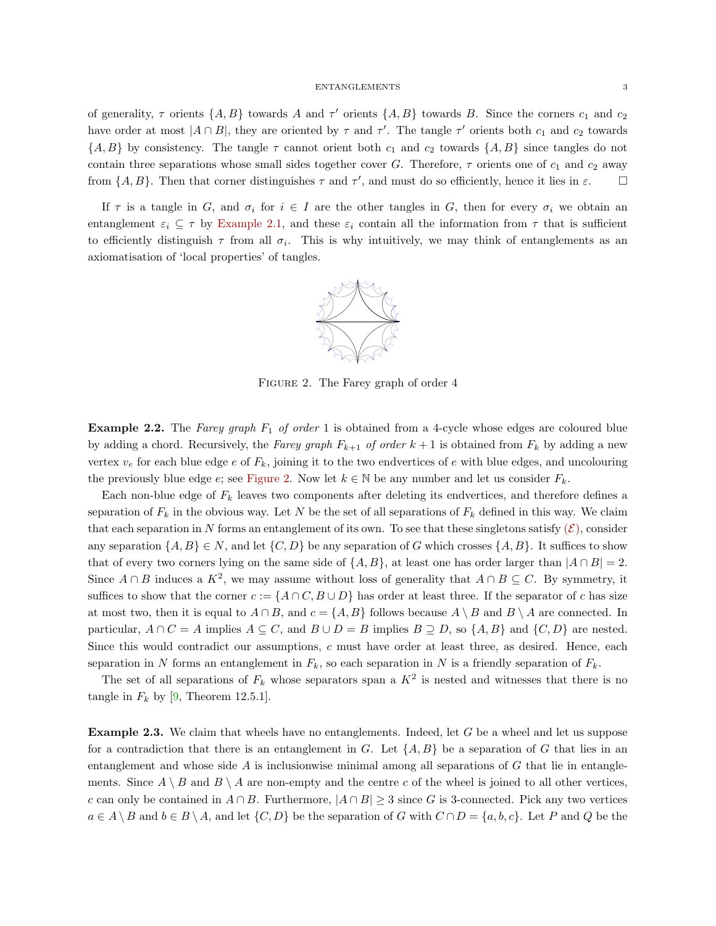of generality,  $\tau$  orients  $\{A, B\}$  towards A and  $\tau'$  orients  $\{A, B\}$  towards B. Since the corners  $c_1$  and  $c_2$ have order at most  $|A \cap B|$ , they are oriented by  $\tau$  and  $\tau'$ . The tangle  $\tau'$  orients both  $c_1$  and  $c_2$  towards  ${A, B}$  by consistency. The tangle  $\tau$  cannot orient both  $c_1$  and  $c_2$  towards  ${A, B}$  since tangles do not contain three separations whose small sides together cover G. Therefore,  $\tau$  orients one of  $c_1$  and  $c_2$  away from  $\{A, B\}$ . Then that corner distinguishes  $\tau$  and  $\tau'$ , and must do so efficiently, hence it lies in  $\varepsilon$ .

<span id="page-2-1"></span>If  $\tau$  is a tangle in G, and  $\sigma_i$  for  $i \in I$  are the other tangles in G, then for every  $\sigma_i$  we obtain an entanglement  $\varepsilon_i \subseteq \tau$  by [Example 2.1,](#page-1-3) and these  $\varepsilon_i$  contain all the information from  $\tau$  that is sufficient to efficiently distinguish  $\tau$  from all  $\sigma_i$ . This is why intuitively, we may think of entanglements as an axiomatisation of 'local properties' of tangles.



FIGURE 2. The Farey graph of order 4

<span id="page-2-0"></span>**Example 2.2.** The Farey graph  $F_1$  of order 1 is obtained from a 4-cycle whose edges are coloured blue by adding a chord. Recursively, the Farey graph  $F_{k+1}$  of order  $k+1$  is obtained from  $F_k$  by adding a new vertex  $v_e$  for each blue edge e of  $F_k$ , joining it to the two endvertices of e with blue edges, and uncolouring the previously blue edge  $e$ ; see [Figure 2.](#page-2-1) Now let  $k \in \mathbb{N}$  be any number and let us consider  $F_k$ .

Each non-blue edge of  $F_k$  leaves two components after deleting its endvertices, and therefore defines a separation of  $F_k$  in the obvious way. Let N be the set of all separations of  $F_k$  defined in this way. We claim that each separation in N forms an entanglement of its own. To see that these singletons satisfy  $(\mathcal{E})$  $(\mathcal{E})$  $(\mathcal{E})$ , consider any separation  $\{A, B\} \in N$ , and let  $\{C, D\}$  be any separation of G which crosses  $\{A, B\}$ . It suffices to show that of every two corners lying on the same side of  $\{A, B\}$ , at least one has order larger than  $|A \cap B| = 2$ . Since  $A \cap B$  induces a  $K^2$ , we may assume without loss of generality that  $A \cap B \subseteq C$ . By symmetry, it suffices to show that the corner  $c := \{A \cap C, B \cup D\}$  has order at least three. If the separator of c has size at most two, then it is equal to  $A \cap B$ , and  $c = \{A, B\}$  follows because  $A \setminus B$  and  $B \setminus A$  are connected. In particular,  $A \cap C = A$  implies  $A \subseteq C$ , and  $B \cup D = B$  implies  $B \supseteq D$ , so  $\{A, B\}$  and  $\{C, D\}$  are nested. Since this would contradict our assumptions, c must have order at least three, as desired. Hence, each separation in N forms an entanglement in  $F_k$ , so each separation in N is a friendly separation of  $F_k$ .

The set of all separations of  $F_k$  whose separators span a  $K^2$  is nested and witnesses that there is no tangle in  $F_k$  by [\[9,](#page-7-6) Theorem 12.5.1].

<span id="page-2-2"></span>Example 2.3. We claim that wheels have no entanglements. Indeed, let G be a wheel and let us suppose for a contradiction that there is an entanglement in G. Let  $\{A, B\}$  be a separation of G that lies in an entanglement and whose side  $A$  is inclusionwise minimal among all separations of  $G$  that lie in entanglements. Since  $A \setminus B$  and  $B \setminus A$  are non-empty and the centre c of the wheel is joined to all other vertices, c can only be contained in  $A \cap B$ . Furthermore,  $|A \cap B| \geq 3$  since G is 3-connected. Pick any two vertices  $a \in A \setminus B$  and  $b \in B \setminus A$ , and let  $\{C, D\}$  be the separation of G with  $C \cap D = \{a, b, c\}$ . Let P and Q be the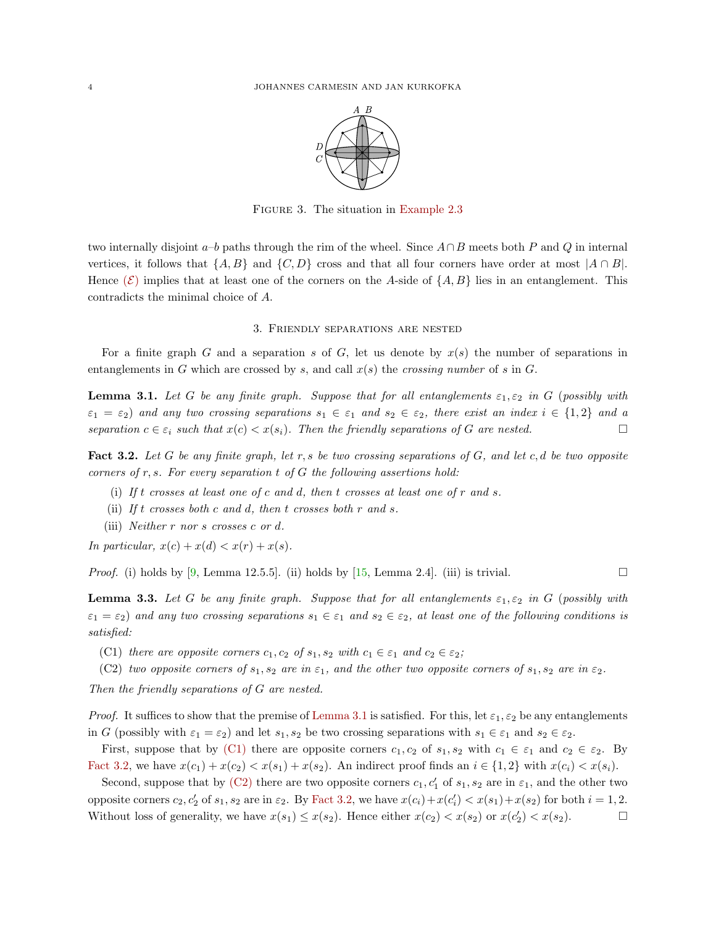

FIGURE 3. The situation in [Example 2.3](#page-2-2)

two internally disjoint a–b paths through the rim of the wheel. Since  $A \cap B$  meets both P and Q in internal vertices, it follows that  $\{A, B\}$  and  $\{C, D\}$  cross and that all four corners have order at most  $|A \cap B|$ . Hence  $(\mathcal{E})$  $(\mathcal{E})$  $(\mathcal{E})$  implies that at least one of the corners on the A-side of  $\{A, B\}$  lies in an entanglement. This contradicts the minimal choice of A.

#### 3. Friendly separations are nested

<span id="page-3-0"></span>For a finite graph G and a separation s of G, let us denote by  $x(s)$  the number of separations in entanglements in G which are crossed by s, and call  $x(s)$  the crossing number of s in G.

<span id="page-3-1"></span>**Lemma 3.1.** Let G be any finite graph. Suppose that for all entanglements  $\varepsilon_1, \varepsilon_2$  in G (possibly with  $\varepsilon_1 = \varepsilon_2$  and any two crossing separations  $s_1 \in \varepsilon_1$  and  $s_2 \in \varepsilon_2$ , there exist an index  $i \in \{1,2\}$  and a separation  $c \in \varepsilon_i$  such that  $x(c) < x(s_i)$ . Then the friendly separations of G are nested.

<span id="page-3-3"></span>Fact 3.2. Let G be any finite graph, let r, s be two crossing separations of G, and let c, d be two opposite corners of  $r, s$ . For every separation  $t$  of  $G$  the following assertions hold:

- (i) If t crosses at least one of c and d, then t crosses at least one of r and s.
- (ii) If t crosses both c and d, then t crosses both  $r$  and  $s$ .
- (iii) Neither r nor s crosses c or d.

In particular,  $x(c) + x(d) < x(r) + x(s)$ .

*Proof.* (i) holds by [\[9,](#page-7-6) Lemma 12.5.5]. (ii) holds by [\[15,](#page-7-8) Lemma 2.4]. (iii) is trivial.

<span id="page-3-5"></span>**Lemma 3.3.** Let G be any finite graph. Suppose that for all entanglements  $\varepsilon_1, \varepsilon_2$  in G (possibly with  $\varepsilon_1 = \varepsilon_2$ ) and any two crossing separations  $s_1 \in \varepsilon_1$  and  $s_2 \in \varepsilon_2$ , at least one of the following conditions is satisfied:

<span id="page-3-2"></span>(C1) there are opposite corners  $c_1, c_2$  of  $s_1, s_2$  with  $c_1 \in \varepsilon_1$  and  $c_2 \in \varepsilon_2$ ;

<span id="page-3-4"></span>(C2) two opposite corners of  $s_1, s_2$  are in  $\varepsilon_1$ , and the other two opposite corners of  $s_1, s_2$  are in  $\varepsilon_2$ .

Then the friendly separations of G are nested.

*Proof.* It suffices to show that the premise of [Lemma 3.1](#page-3-1) is satisfied. For this, let  $\varepsilon_1, \varepsilon_2$  be any entanglements in G (possibly with  $\varepsilon_1 = \varepsilon_2$ ) and let  $s_1, s_2$  be two crossing separations with  $s_1 \in \varepsilon_1$  and  $s_2 \in \varepsilon_2$ .

First, suppose that by [\(C1\)](#page-3-2) there are opposite corners  $c_1, c_2$  of  $s_1, s_2$  with  $c_1 \in \varepsilon_1$  and  $c_2 \in \varepsilon_2$ . By [Fact 3.2,](#page-3-3) we have  $x(c_1) + x(c_2) < x(s_1) + x(s_2)$ . An indirect proof finds an  $i \in \{1,2\}$  with  $x(c_i) < x(s_i)$ .

Second, suppose that by [\(C2\)](#page-3-4) there are two opposite corners  $c_1, c'_1$  of  $s_1, s_2$  are in  $\varepsilon_1$ , and the other two opposite corners  $c_2, c'_2$  of  $s_1, s_2$  are in  $\varepsilon_2$ . By [Fact 3.2,](#page-3-3) we have  $x(c_i)+x(c'_i) < x(s_1)+x(s_2)$  for both  $i=1,2$ . Without loss of generality, we have  $x(s_1) \leq x(s_2)$ . Hence either  $x(c_2) < x(s_2)$  or  $x(c'_2) < x(s_2)$ .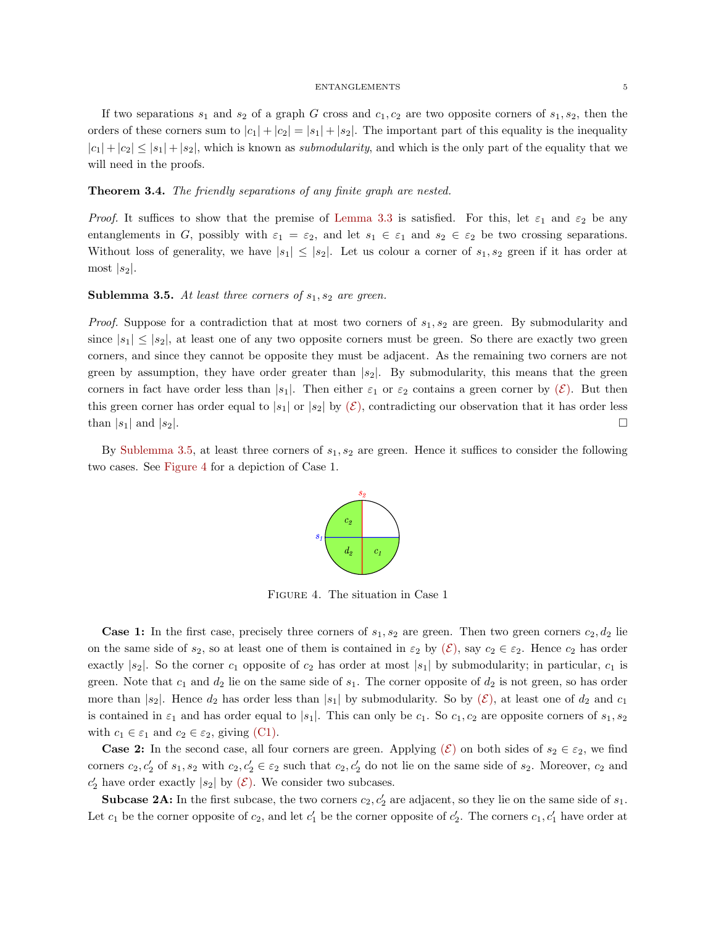If two separations  $s_1$  and  $s_2$  of a graph G cross and  $c_1, c_2$  are two opposite corners of  $s_1, s_2$ , then the orders of these corners sum to  $|c_1| + |c_2| = |s_1| + |s_2|$ . The important part of this equality is the inequality  $|c_1| + |c_2| \leq |s_1| + |s_2|$ , which is known as *submodularity*, and which is the only part of the equality that we will need in the proofs.

### <span id="page-4-2"></span>Theorem 3.4. The friendly separations of any finite graph are nested.

Proof. It suffices to show that the premise of [Lemma 3.3](#page-3-5) is satisfied. For this, let  $\varepsilon_1$  and  $\varepsilon_2$  be any entanglements in G, possibly with  $\varepsilon_1 = \varepsilon_2$ , and let  $s_1 \in \varepsilon_1$  and  $s_2 \in \varepsilon_2$  be two crossing separations. Without loss of generality, we have  $|s_1| \leq |s_2|$ . Let us colour a corner of  $s_1, s_2$  green if it has order at most  $|s_2|$ .

### <span id="page-4-0"></span>**Sublemma 3.5.** At least three corners of  $s_1, s_2$  are green.

*Proof.* Suppose for a contradiction that at most two corners of  $s_1, s_2$  are green. By submodularity and since  $|s_1| \leq |s_2|$ , at least one of any two opposite corners must be green. So there are exactly two green corners, and since they cannot be opposite they must be adjacent. As the remaining two corners are not green by assumption, they have order greater than  $|s_2|$ . By submodularity, this means that the green corners in fact have order less than  $|s_1|$ . Then either  $\varepsilon_1$  or  $\varepsilon_2$  contains a green corner by  $(\mathcal{E})$  $(\mathcal{E})$  $(\mathcal{E})$ . But then this green corner has order equal to  $|s_1|$  or  $|s_2|$  by  $(\mathcal{E})$  $(\mathcal{E})$  $(\mathcal{E})$ , contradicting our observation that it has order less than  $|s_1|$  and  $|s_2|$ .

<span id="page-4-1"></span>By [Sublemma 3.5,](#page-4-0) at least three corners of  $s_1, s_2$  are green. Hence it suffices to consider the following two cases. See [Figure 4](#page-4-1) for a depiction of Case 1.



FIGURE 4. The situation in Case 1

**Case 1:** In the first case, precisely three corners of  $s_1, s_2$  are green. Then two green corners  $c_2, d_2$  lie on the same side of  $s_2$ , so at least one of them is contained in  $\varepsilon_2$  by  $(\mathcal{E})$  $(\mathcal{E})$  $(\mathcal{E})$ , say  $c_2 \in \varepsilon_2$ . Hence  $c_2$  has order exactly  $|s_2|$ . So the corner  $c_1$  opposite of  $c_2$  has order at most  $|s_1|$  by submodularity; in particular,  $c_1$  is green. Note that  $c_1$  and  $d_2$  lie on the same side of  $s_1$ . The corner opposite of  $d_2$  is not green, so has order more than  $|s_2|$ . Hence  $d_2$  has order less than  $|s_1|$  by submodularity. So by  $(\mathcal{E})$  $(\mathcal{E})$  $(\mathcal{E})$ , at least one of  $d_2$  and  $c_1$ is contained in  $\varepsilon_1$  and has order equal to  $|s_1|$ . This can only be  $c_1$ . So  $c_1$ ,  $c_2$  are opposite corners of  $s_1$ ,  $s_2$ with  $c_1 \in \varepsilon_1$  and  $c_2 \in \varepsilon_2$ , giving [\(C1\).](#page-3-2)

**Case 2:** In the second case, all four corners are green. Applying  $(\mathcal{E})$  $(\mathcal{E})$  $(\mathcal{E})$  on both sides of  $s_2 \in \varepsilon_2$ , we find corners  $c_2, c'_2$  of  $s_1, s_2$  with  $c_2, c'_2 \in \varepsilon_2$  such that  $c_2, c'_2$  do not lie on the same side of  $s_2$ . Moreover,  $c_2$  and  $c_2'$  have order exactly  $|s_2|$  by  $(\mathcal{E})$  $(\mathcal{E})$  $(\mathcal{E})$ . We consider two subcases.

**Subcase 2A:** In the first subcase, the two corners  $c_2$ ,  $c'_2$  are adjacent, so they lie on the same side of  $s_1$ . Let  $c_1$  be the corner opposite of  $c_2$ , and let  $c'_1$  be the corner opposite of  $c'_2$ . The corners  $c_1, c'_1$  have order at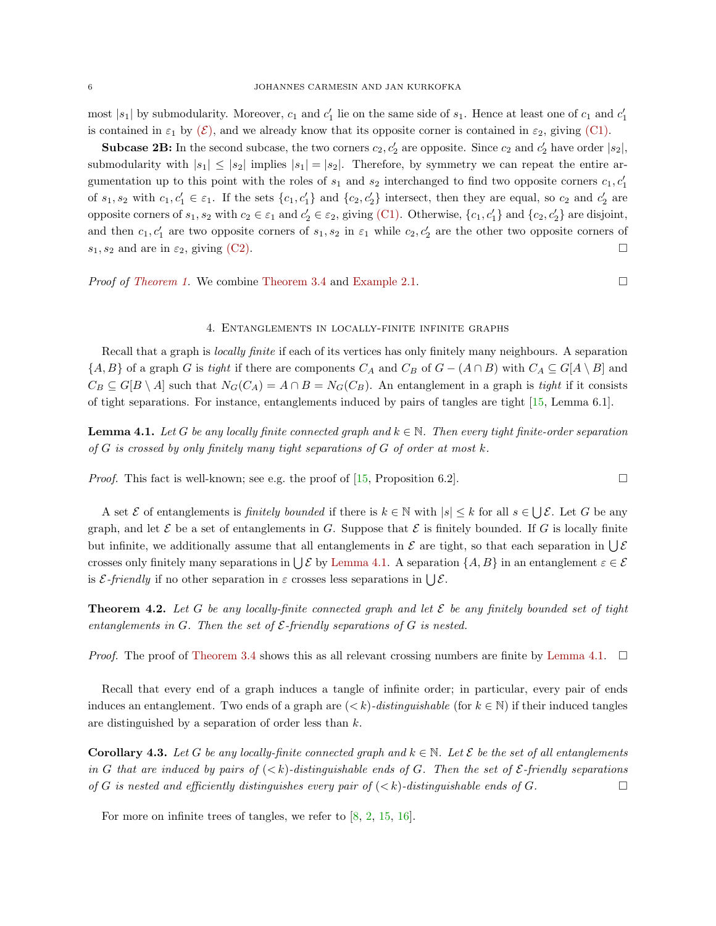most |s<sub>1</sub>| by submodularity. Moreover,  $c_1$  and  $c'_1$  lie on the same side of  $s_1$ . Hence at least one of  $c_1$  and  $c'_1$ is contained in  $\varepsilon_1$  by  $(\mathcal{E})$  $(\mathcal{E})$  $(\mathcal{E})$ , and we already know that its opposite corner is contained in  $\varepsilon_2$ , giving [\(C1\).](#page-3-2)

**Subcase 2B:** In the second subcase, the two corners  $c_2$ ,  $c'_2$  are opposite. Since  $c_2$  and  $c'_2$  have order  $|s_2|$ , submodularity with  $|s_1| \leq |s_2|$  implies  $|s_1| = |s_2|$ . Therefore, by symmetry we can repeat the entire argumentation up to this point with the roles of  $s_1$  and  $s_2$  interchanged to find two opposite corners  $c_1, c'_1$ of  $s_1, s_2$  with  $c_1, c'_1 \in \varepsilon_1$ . If the sets  $\{c_1, c'_1\}$  and  $\{c_2, c'_2\}$  intersect, then they are equal, so  $c_2$  and  $c'_2$  are opposite corners of  $s_1, s_2$  with  $c_2 \in \varepsilon_1$  and  $c_2' \in \varepsilon_2$ , giving [\(C1\).](#page-3-2) Otherwise,  $\{c_1, c_1'\}$  and  $\{c_2, c_2'\}$  are disjoint, and then  $c_1, c'_1$  are two opposite corners of  $s_1, s_2$  in  $\varepsilon_1$  while  $c_2, c'_2$  are the other two opposite corners of  $s_1, s_2$  and are in  $\varepsilon_2$ , giving [\(C2\).](#page-3-4)

*Proof of [Theorem 1.](#page-0-1)* We combine [Theorem 3.4](#page-4-2) and [Example 2.1.](#page-1-3) □

# 4. Entanglements in locally-finite infinite graphs

<span id="page-5-1"></span>Recall that a graph is *locally finite* if each of its vertices has only finitely many neighbours. A separation  $\{A, B\}$  of a graph G is tight if there are components  $C_A$  and  $C_B$  of  $G - (A \cap B)$  with  $C_A \subseteq G[A \setminus B]$  and  $C_B \subseteq G[B \setminus A]$  such that  $N_G(C_A) = A \cap B = N_G(C_B)$ . An entanglement in a graph is tight if it consists of tight separations. For instance, entanglements induced by pairs of tangles are tight [\[15,](#page-7-8) Lemma 6.1].

<span id="page-5-2"></span>**Lemma 4.1.** Let G be any locally finite connected graph and  $k \in \mathbb{N}$ . Then every tight finite-order separation of  $G$  is crossed by only finitely many tight separations of  $G$  of order at most  $k$ .

*Proof.* This fact is well-known; see e.g. the proof of [\[15,](#page-7-8) Proposition 6.2].

A set  $\mathcal E$  of entanglements is *finitely bounded* if there is  $k \in \mathbb N$  with  $|s| \leq k$  for all  $s \in \bigcup \mathcal E$ . Let G be any graph, and let  $\mathcal E$  be a set of entanglements in G. Suppose that  $\mathcal E$  is finitely bounded. If G is locally finite but infinite, we additionally assume that all entanglements in  $\mathcal E$  are tight, so that each separation in  $\bigcup \mathcal E$ crosses only finitely many separations in  $\bigcup \mathcal{E}$  by [Lemma 4.1.](#page-5-2) A separation  $\{A, B\}$  in an entanglement  $\varepsilon \in \mathcal{E}$ is  $\mathcal{E}\text{-}friendly$  if no other separation in  $\varepsilon$  crosses less separations in  $\bigcup \mathcal{E}\text{.}$ 

<span id="page-5-0"></span>**Theorem 4.2.** Let G be any locally-finite connected graph and let  $\mathcal{E}$  be any finitely bounded set of tight entanglements in G. Then the set of  $\mathcal E$ -friendly separations of G is nested.

*Proof.* The proof of [Theorem 3.4](#page-4-2) shows this as all relevant crossing numbers are finite by [Lemma 4.1.](#page-5-2)  $\Box$ 

Recall that every end of a graph induces a tangle of infinite order; in particular, every pair of ends induces an entanglement. Two ends of a graph are  $(< k)$ -distinguishable (for  $k \in \mathbb{N}$ ) if their induced tangles are distinguished by a separation of order less than k.

**Corollary 4.3.** Let G be any locally-finite connected graph and  $k \in \mathbb{N}$ . Let E be the set of all entanglements in G that are induced by pairs of  $( $k$ )-distinguishable ends of G. Then the set of  $\mathcal{E}\text{-}$  friendly separations$ of G is nested and efficiently distinguishes every pair of  $( $k$ )-distinguishable ends of G.$ 

For more on infinite trees of tangles, we refer to [\[8,](#page-7-12) [2,](#page-7-13) [15,](#page-7-8) [16\]](#page-7-14).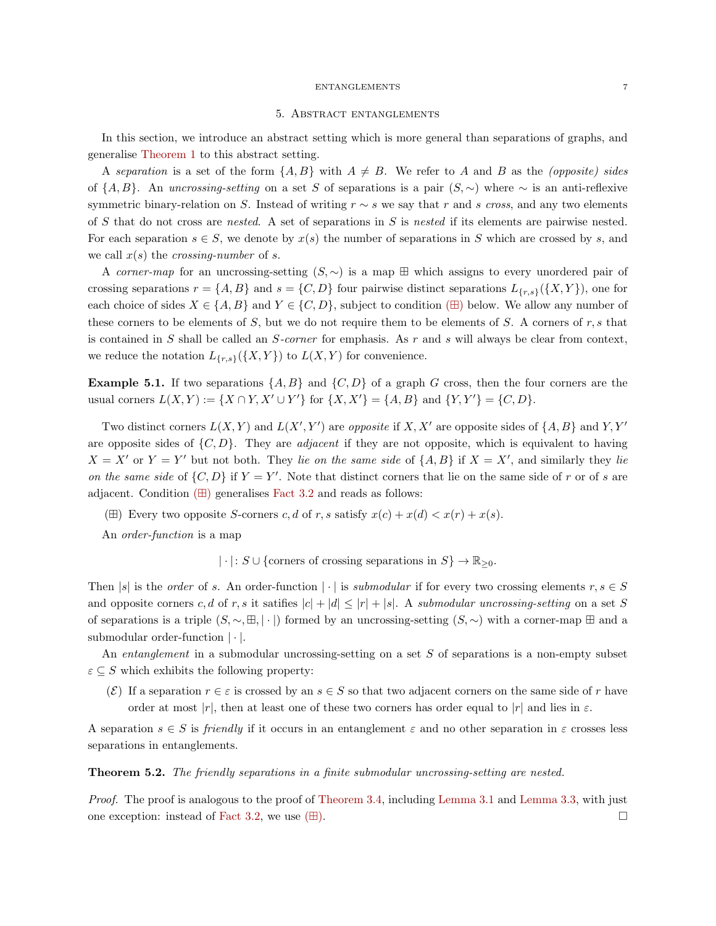# 5. Abstract entanglements

<span id="page-6-0"></span>In this section, we introduce an abstract setting which is more general than separations of graphs, and generalise [Theorem 1](#page-0-1) to this abstract setting.

A separation is a set of the form  $\{A, B\}$  with  $A \neq B$ . We refer to A and B as the *(opposite) sides* of  $\{A, B\}$ . An uncrossing-setting on a set S of separations is a pair  $(S, \sim)$  where  $\sim$  is an anti-reflexive symmetric binary-relation on S. Instead of writing  $r \sim s$  we say that r and s cross, and any two elements of S that do not cross are nested. A set of separations in S is nested if its elements are pairwise nested. For each separation  $s \in S$ , we denote by  $x(s)$  the number of separations in S which are crossed by s, and we call  $x(s)$  the *crossing-number* of s.

A corner-map for an uncrossing-setting  $(S, \sim)$  is a map  $\boxplus$  which assigns to every unordered pair of crossing separations  $r = \{A, B\}$  and  $s = \{C, D\}$  four pairwise distinct separations  $L_{\{r,s\}}(\{X, Y\})$ , one for each choice of sides  $X \in \{A, B\}$  and  $Y \in \{C, D\}$ , subject to condition ( $\boxplus$ ) below. We allow any number of these corners to be elements of  $S$ , but we do not require them to be elements of  $S$ . A corners of  $r, s$  that is contained in  $S$  shall be called an  $S\text{-}corner$  for emphasis. As  $r$  and  $s$  will always be clear from context, we reduce the notation  $L_{\{r,s\}}(\{X,Y\})$  to  $L(X,Y)$  for convenience.

**Example 5.1.** If two separations  $\{A, B\}$  and  $\{C, D\}$  of a graph G cross, then the four corners are the usual corners  $L(X, Y) := \{ X \cap Y, X' \cup Y' \}$  for  $\{ X, X' \} = \{ A, B \}$  and  $\{ Y, Y' \} = \{ C, D \}.$ 

Two distinct corners  $L(X, Y)$  and  $L(X', Y')$  are opposite if X, X' are opposite sides of  $\{A, B\}$  and Y, Y' are opposite sides of  $\{C, D\}$ . They are *adjacent* if they are not opposite, which is equivalent to having  $X = X'$  or  $Y = Y'$  but not both. They lie on the same side of  $\{A, B\}$  if  $X = X'$ , and similarly they lie on the same side of  $\{C, D\}$  if  $Y = Y'$ . Note that distinct corners that lie on the same side of r or of s are adjacent. Condition  $(\boxplus)$  generalises [Fact 3.2](#page-3-3) and reads as follows:

<span id="page-6-1"></span>( $\boxplus$ ) Every two opposite S-corners c, d of r, s satisfy  $x(c) + x(d) < x(r) + x(s)$ .

An order-function is a map

 $|\cdot|: S \cup \{\text{corners of crossing separations in } S\} \to \mathbb{R}_{\geq 0}.$ 

Then |s| is the order of s. An order-function | · | is submodular if for every two crossing elements  $r, s \in S$ and opposite corners c, d of r, s it satifies  $|c| + |d| \leq |r| + |s|$ . A submodular uncrossing-setting on a set S of separations is a triple  $(S, \sim, \boxplus, |\cdot|)$  formed by an uncrossing-setting  $(S, \sim)$  with a corner-map  $\boxplus$  and a submodular order-function | · |.

An *entanglement* in a submodular uncrossing-setting on a set  $S$  of separations is a non-empty subset  $\varepsilon \subseteq S$  which exhibits the following property:

(E) If a separation  $r \in \varepsilon$  is crossed by an  $s \in S$  so that two adjacent corners on the same side of r have order at most |r|, then at least one of these two corners has order equal to |r| and lies in  $\varepsilon$ .

A separation  $s \in S$  is friendly if it occurs in an entanglement  $\varepsilon$  and no other separation in  $\varepsilon$  crosses less separations in entanglements.

<span id="page-6-2"></span>Theorem 5.2. The friendly separations in a finite submodular uncrossing-setting are nested.

Proof. The proof is analogous to the proof of [Theorem 3.4,](#page-4-2) including [Lemma 3.1](#page-3-1) and [Lemma 3.3,](#page-3-5) with just one exception: instead of [Fact 3.2,](#page-3-3) we use  $(\boxplus)$ .